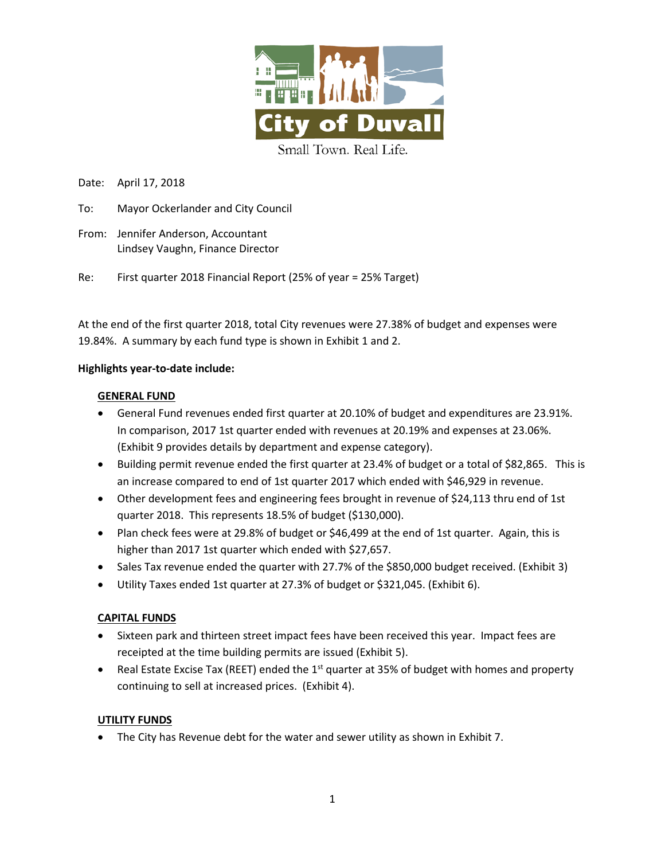

Date: April 17, 2018

- To: Mayor Ockerlander and City Council
- From: Jennifer Anderson, Accountant Lindsey Vaughn, Finance Director

Re: First quarter 2018 Financial Report (25% of year = 25% Target)

At the end of the first quarter 2018, total City revenues were 27.38% of budget and expenses were 19.84%. A summary by each fund type is shown in Exhibit 1 and 2.

## **Highlights year-to-date include:**

## **GENERAL FUND**

- General Fund revenues ended first quarter at 20.10% of budget and expenditures are 23.91%. In comparison, 2017 1st quarter ended with revenues at 20.19% and expenses at 23.06%. (Exhibit 9 provides details by department and expense category).
- Building permit revenue ended the first quarter at 23.4% of budget or a total of \$82,865. This is an increase compared to end of 1st quarter 2017 which ended with \$46,929 in revenue.
- Other development fees and engineering fees brought in revenue of \$24,113 thru end of 1st quarter 2018. This represents 18.5% of budget (\$130,000).
- Plan check fees were at 29.8% of budget or \$46,499 at the end of 1st quarter. Again, this is higher than 2017 1st quarter which ended with \$27,657.
- Sales Tax revenue ended the quarter with 27.7% of the \$850,000 budget received. (Exhibit 3)
- Utility Taxes ended 1st quarter at 27.3% of budget or \$321,045. (Exhibit 6).

## **CAPITAL FUNDS**

- Sixteen park and thirteen street impact fees have been received this year. Impact fees are receipted at the time building permits are issued (Exhibit 5).
- Real Estate Excise Tax (REET) ended the  $1<sup>st</sup>$  quarter at 35% of budget with homes and property continuing to sell at increased prices. (Exhibit 4).

## **UTILITY FUNDS**

• The City has Revenue debt for the water and sewer utility as shown in Exhibit 7.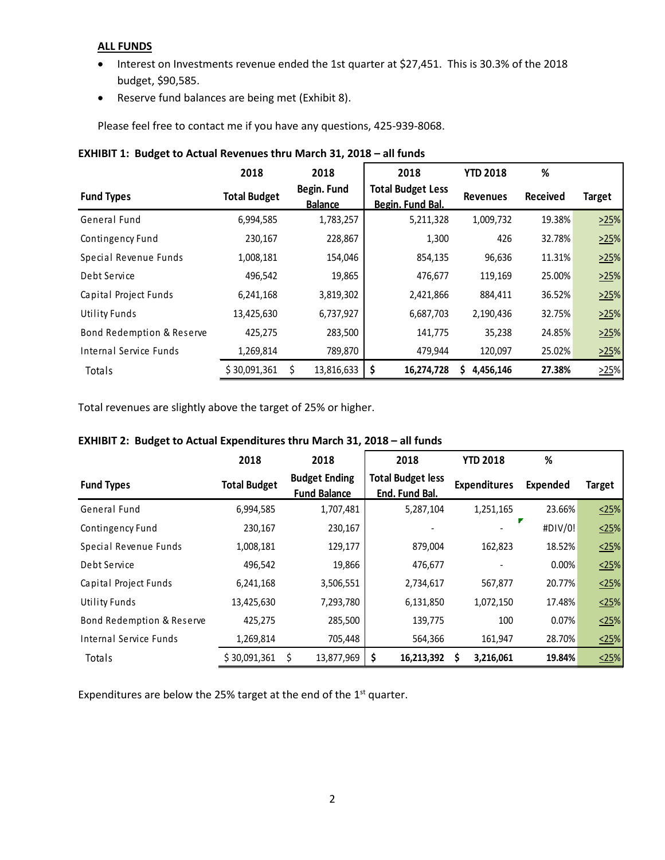## **ALL FUNDS**

- Interest on Investments revenue ended the 1st quarter at \$27,451. This is 30.3% of the 2018 budget, \$90,585.
- Reserve fund balances are being met (Exhibit 8).

Please feel free to contact me if you have any questions, 425-939-8068.

|                           | 2018                | 2018                          | 2018                                         | <b>YTD 2018</b> | %               |        |
|---------------------------|---------------------|-------------------------------|----------------------------------------------|-----------------|-----------------|--------|
| <b>Fund Types</b>         | <b>Total Budget</b> | Begin. Fund<br><b>Balance</b> | <b>Total Budget Less</b><br>Begin. Fund Bal. | <b>Revenues</b> | <b>Received</b> | Target |
| General Fund              | 6,994,585           | 1,783,257                     | 5,211,328                                    | 1,009,732       | 19.38%          | >25%   |
| Contingency Fund          | 230,167             | 228,867                       | 1,300                                        | 426             | 32.78%          | >25%   |
| Special Revenue Funds     | 1,008,181           | 154,046                       | 854,135                                      | 96,636          | 11.31%          | >25%   |
| Debt Service              | 496,542             | 19,865                        | 476,677                                      | 119,169         | 25.00%          | >25%   |
| Capital Project Funds     | 6,241,168           | 3,819,302                     | 2,421,866                                    | 884,411         | 36.52%          | >25%   |
| Utility Funds             | 13,425,630          | 6,737,927                     | 6,687,703                                    | 2,190,436       | 32.75%          | >25%   |
| Bond Redemption & Reserve | 425,275             | 283,500                       | 141,775                                      | 35,238          | 24.85%          | >25%   |
| Internal Service Funds    | 1,269,814           | 789,870                       | 479,944                                      | 120,097         | 25.02%          | >25%   |
| Totals                    | \$30,091,361        | 13,816,633                    | 16,274,728<br>S                              | 4,456,146       | 27.38%          | >25%   |

## **EXHIBIT 1: Budget to Actual Revenues thru March 31, 2018 – all funds**

Total revenues are slightly above the target of 25% or higher.

# **2018 2018 2018 YTD 2018 % Fund Types Total Budget Budget Ending Fund Balance Total Budget less End. Fund Bal. Expenditures Expended Target** General Fund 6,994,585 1,707,481 5,287,104 1,251,165 23.66% <25% Contingency Fund 230,167 230,167 230,167 230,167 230,167 230,167 230,167 230,167 230,167 230,167 230,167 230,167 230,167 230,167 230,167 230,167 230,167 230,167 230,167 230,167 230,167 230,167 230,167 230,167 230,167 230, Special Revenue Funds 1,008,181 129,177 879,004 162,823 18.52% 25% Debt Service 496,542 19,866 | 476,677 - 0.00% <u><25</u>% Capital Project Funds 6,241,168 3,506,551 2,734,617 567,877 20.77%  $\frac{\langle 25 \rangle}{2}$ Utility Funds 13,425,630 7,293,780 6,131,850 1,072,150 17.48%  $\frac{\langle 25 \rangle}{\langle 15 \rangle}$ Bond Redemption & Reserve 425,275 285,500 139,775 100 0.07%  $\leq 25\%$ Internal Service Funds 1,269,814 705,448 564,366 161,947 28.70% <25% Totals \$ 30,091,361 \$ 13,877,969 **\$ 16,213,392 \$ 3,216,061 19.84%** <25%

# **EXHIBIT 2: Budget to Actual Expenditures thru March 31, 2018 – all funds**

Expenditures are below the 25% target at the end of the  $1<sup>st</sup>$  quarter.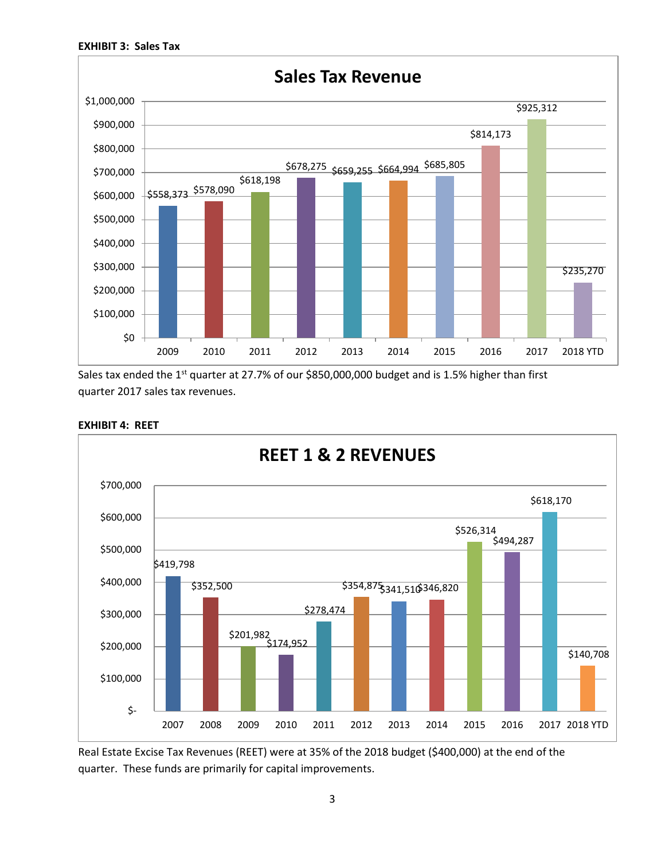

Sales tax ended the 1<sup>st</sup> quarter at 27.7% of our \$850,000,000 budget and is 1.5% higher than first quarter 2017 sales tax revenues.



## **EXHIBIT 4: REET**

Real Estate Excise Tax Revenues (REET) were at 35% of the 2018 budget (\$400,000) at the end of the quarter. These funds are primarily for capital improvements.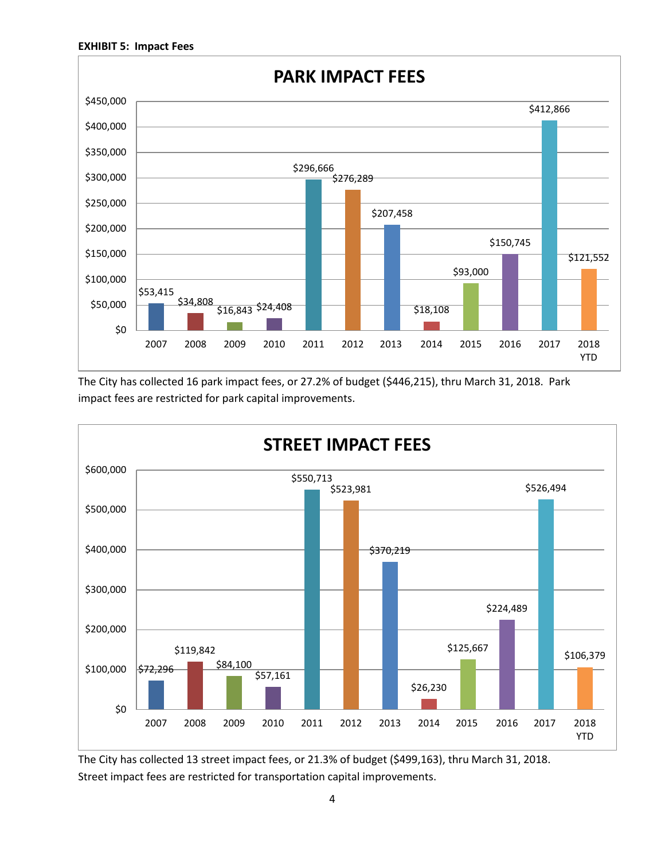

The City has collected 16 park impact fees, or 27.2% of budget (\$446,215), thru March 31, 2018. Park impact fees are restricted for park capital improvements.



The City has collected 13 street impact fees, or 21.3% of budget (\$499,163), thru March 31, 2018. Street impact fees are restricted for transportation capital improvements.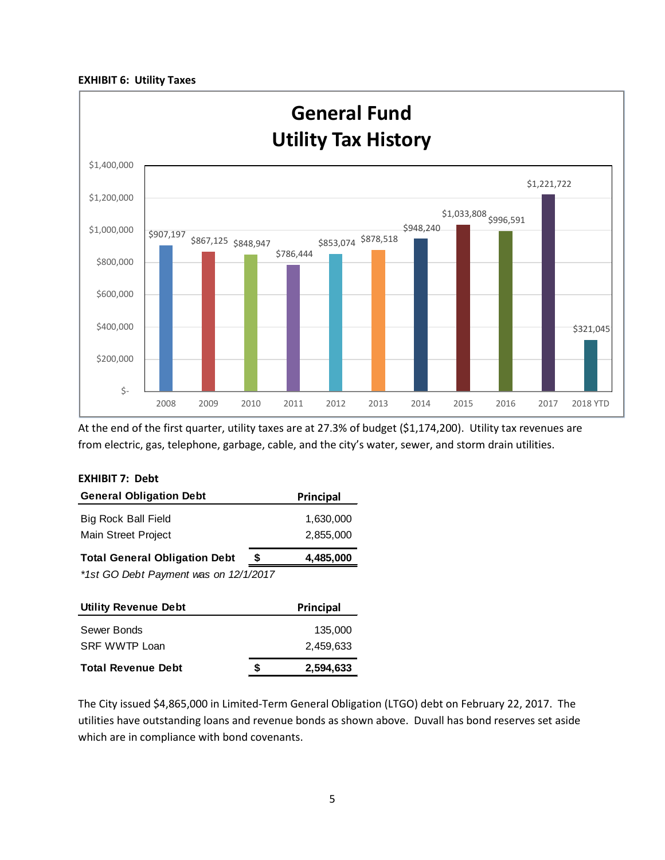#### **EXHIBIT 6: Utility Taxes**



At the end of the first quarter, utility taxes are at 27.3% of budget (\$1,174,200). Utility tax revenues are from electric, gas, telephone, garbage, cable, and the city's water, sewer, and storm drain utilities.

| EXHIBIT 7:  Debt                          |                  |
|-------------------------------------------|------------------|
| <b>General Obligation Debt</b>            | <b>Principal</b> |
| Big Rock Ball Field                       | 1,630,000        |
| Main Street Project                       | 2,855,000        |
| <b>Total General Obligation Debt</b><br>S | 4,485,000        |
| *1st GO Debt Payment was on 12/1/2017     |                  |
| <b>Utility Revenue Debt</b>               | Principal        |
| Sewer Bonds                               | 135,000          |
|                                           |                  |

# SRF WWTP Loan 2,459,633 **Total Revenue Debt \$ 2,594,633**

The City issued \$4,865,000 in Limited-Term General Obligation (LTGO) debt on February 22, 2017. The utilities have outstanding loans and revenue bonds as shown above. Duvall has bond reserves set aside which are in compliance with bond covenants.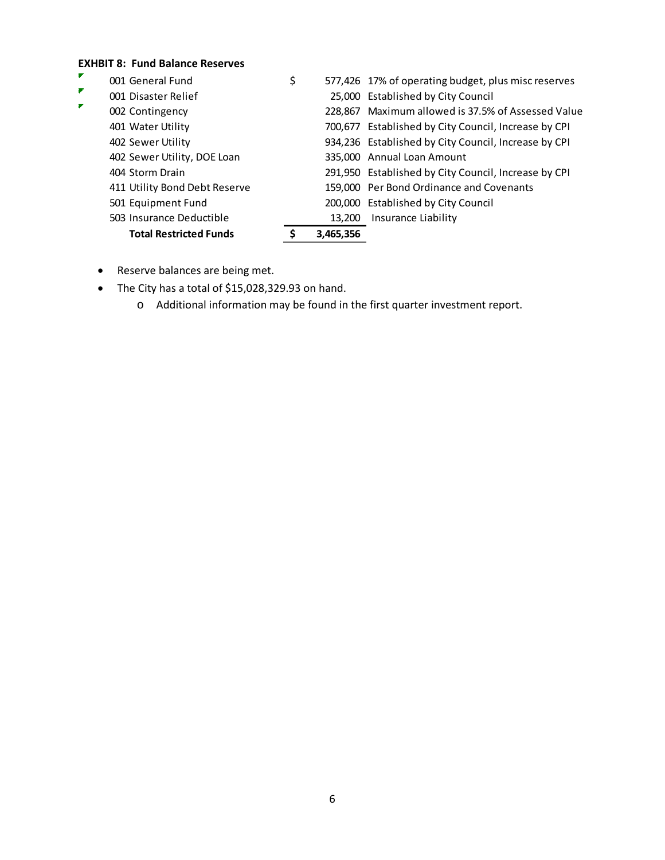## **EXHBIT 8: Fund Balance Reserves**

|                | <b>Total Restricted Funds</b> | 3,465,356 |                                                      |
|----------------|-------------------------------|-----------|------------------------------------------------------|
|                | 503 Insurance Deductible      | 13,200    | Insurance Liability                                  |
|                | 501 Equipment Fund            |           | 200,000 Established by City Council                  |
|                | 411 Utility Bond Debt Reserve |           | 159,000 Per Bond Ordinance and Covenants             |
|                | 404 Storm Drain               |           | 291,950 Established by City Council, Increase by CPI |
|                | 402 Sewer Utility, DOE Loan   |           | 335,000 Annual Loan Amount                           |
|                | 402 Sewer Utility             |           | 934,236 Established by City Council, Increase by CPI |
|                | 401 Water Utility             |           | 700,677 Established by City Council, Increase by CPI |
| $\blacksquare$ | 002 Contingency               |           | 228,867 Maximum allowed is 37.5% of Assessed Value   |
| ₽              | 001 Disaster Relief           |           | 25,000 Established by City Council                   |
| ▛              | 001 General Fund              | \$        | 577,426 17% of operating budget, plus misc reserves  |

- Reserve balances are being met.
- The City has a total of \$15,028,329.93 on hand.
	- o Additional information may be found in the first quarter investment report.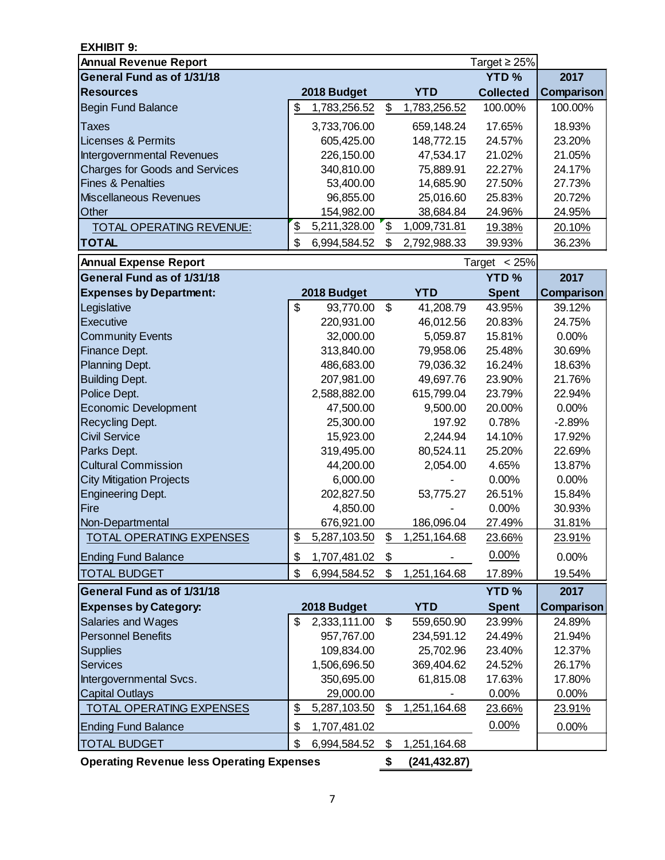| Target $\geq$ 25%<br><b>YTD%</b><br>2017<br><b>YTD</b><br><b>Collected</b><br>2018 Budget<br>Comparison<br>\$<br>\$<br>1,783,256.52<br>1,783,256.52<br>100.00%<br>100.00%<br>17.65%<br>18.93%<br>3,733,706.00<br>659,148.24<br>Taxes<br>605,425.00<br>148,772.15<br>24.57%<br>23.20%<br>226,150.00<br>47,534.17<br>21.02%<br>21.05%<br>340,810.00<br>75,889.91<br>22.27%<br>24.17%<br>27.73%<br>53,400.00<br>14,685.90<br>27.50%<br>96,855.00<br>25,016.60<br>25.83%<br>20.72%<br>38,684.84<br>24.96%<br>24.95%<br>154,982.00<br>\$<br>\$<br>5,211,328.00<br>1,009,731.81<br><b>TOTAL OPERATING REVENUE:</b><br>19.38%<br>20.10%<br>\$<br>6,994,584.52<br>\$<br>39.93%<br>36.23%<br>2,792,988.33<br>Target $<$ 25%<br><b>YTD%</b><br>2017<br>Comparison<br>2018 Budget<br><b>YTD</b><br><b>Spent</b><br>\$<br>\$<br>93,770.00<br>41,208.79<br>43.95%<br>39.12%<br>220,931.00<br>46,012.56<br>20.83%<br>24.75%<br>32,000.00<br>5,059.87<br>15.81%<br>0.00%<br>313,840.00<br>79,958.06<br>25.48%<br>30.69%<br>486,683.00<br>79,036.32<br>16.24%<br>18.63%<br>207,981.00<br>49,697.76<br>23.90%<br>21.76%<br>2,588,882.00<br>615,799.04<br>23.79%<br>22.94%<br>47,500.00<br>9,500.00<br>20.00%<br>0.00%<br>197.92<br>0.78%<br>25,300.00<br>$-2.89%$<br>15,923.00<br>14.10%<br>17.92%<br>2,244.94<br>80,524.11<br>25.20%<br>319,495.00<br>22.69%<br>4.65%<br>13.87%<br>44,200.00<br>2,054.00<br>6,000.00<br>0.00%<br>0.00%<br>202,827.50<br>53,775.27<br>26.51%<br>15.84%<br>4,850.00<br>0.00%<br>30.93%<br>676.921.00<br>186.096.04<br>27.49%<br>31.81%<br>\$<br>\$<br>1,251,164.68<br>5,287,103.50<br><b>TOTAL OPERATING EXPENSES</b><br>23.91%<br>23.66%<br>0.00%<br>\$<br>\$<br>0.00%<br>1,707,481.02<br>\$<br><b>TOTAL BUDGET</b><br>\$<br>1,251,164.68<br>17.89%<br>6,994,584.52<br>19.54%<br><b>YTD%</b><br>2017<br><b>YTD</b><br>2018 Budget<br><b>Spent</b><br>Comparison<br>2,333,111.00<br>\$<br>559,650.90<br>23.99%<br>\$<br>24.89%<br>957,767.00<br>234,591.12<br>24.49%<br>21.94%<br>109,834.00<br>25,702.96<br>23.40%<br>12.37%<br>369,404.62<br>1,506,696.50<br>24.52%<br>26.17%<br>350,695.00<br>61,815.08<br>17.63%<br>17.80%<br>29,000.00<br>0.00%<br>0.00%<br>\$<br>1,251,164.68<br>\$<br>5,287,103.50<br><b>TOTAL OPERATING EXPENSES</b><br>23.66%<br>23.91%<br>0.00%<br>\$<br>0.00%<br>1,707,481.02 | <b>EXHIBIT 9:</b>                     |                    |                    |  |
|------------------------------------------------------------------------------------------------------------------------------------------------------------------------------------------------------------------------------------------------------------------------------------------------------------------------------------------------------------------------------------------------------------------------------------------------------------------------------------------------------------------------------------------------------------------------------------------------------------------------------------------------------------------------------------------------------------------------------------------------------------------------------------------------------------------------------------------------------------------------------------------------------------------------------------------------------------------------------------------------------------------------------------------------------------------------------------------------------------------------------------------------------------------------------------------------------------------------------------------------------------------------------------------------------------------------------------------------------------------------------------------------------------------------------------------------------------------------------------------------------------------------------------------------------------------------------------------------------------------------------------------------------------------------------------------------------------------------------------------------------------------------------------------------------------------------------------------------------------------------------------------------------------------------------------------------------------------------------------------------------------------------------------------------------------------------------------------------------------------------------------------------------------------------------------------------------------------------------------------------------------------------------------------------------------------------|---------------------------------------|--------------------|--------------------|--|
|                                                                                                                                                                                                                                                                                                                                                                                                                                                                                                                                                                                                                                                                                                                                                                                                                                                                                                                                                                                                                                                                                                                                                                                                                                                                                                                                                                                                                                                                                                                                                                                                                                                                                                                                                                                                                                                                                                                                                                                                                                                                                                                                                                                                                                                                                                                        | <b>Annual Revenue Report</b>          |                    |                    |  |
|                                                                                                                                                                                                                                                                                                                                                                                                                                                                                                                                                                                                                                                                                                                                                                                                                                                                                                                                                                                                                                                                                                                                                                                                                                                                                                                                                                                                                                                                                                                                                                                                                                                                                                                                                                                                                                                                                                                                                                                                                                                                                                                                                                                                                                                                                                                        | General Fund as of 1/31/18            |                    |                    |  |
|                                                                                                                                                                                                                                                                                                                                                                                                                                                                                                                                                                                                                                                                                                                                                                                                                                                                                                                                                                                                                                                                                                                                                                                                                                                                                                                                                                                                                                                                                                                                                                                                                                                                                                                                                                                                                                                                                                                                                                                                                                                                                                                                                                                                                                                                                                                        | <b>Resources</b>                      |                    |                    |  |
|                                                                                                                                                                                                                                                                                                                                                                                                                                                                                                                                                                                                                                                                                                                                                                                                                                                                                                                                                                                                                                                                                                                                                                                                                                                                                                                                                                                                                                                                                                                                                                                                                                                                                                                                                                                                                                                                                                                                                                                                                                                                                                                                                                                                                                                                                                                        | <b>Begin Fund Balance</b>             |                    |                    |  |
|                                                                                                                                                                                                                                                                                                                                                                                                                                                                                                                                                                                                                                                                                                                                                                                                                                                                                                                                                                                                                                                                                                                                                                                                                                                                                                                                                                                                                                                                                                                                                                                                                                                                                                                                                                                                                                                                                                                                                                                                                                                                                                                                                                                                                                                                                                                        |                                       |                    |                    |  |
|                                                                                                                                                                                                                                                                                                                                                                                                                                                                                                                                                                                                                                                                                                                                                                                                                                                                                                                                                                                                                                                                                                                                                                                                                                                                                                                                                                                                                                                                                                                                                                                                                                                                                                                                                                                                                                                                                                                                                                                                                                                                                                                                                                                                                                                                                                                        | Licenses & Permits                    |                    |                    |  |
|                                                                                                                                                                                                                                                                                                                                                                                                                                                                                                                                                                                                                                                                                                                                                                                                                                                                                                                                                                                                                                                                                                                                                                                                                                                                                                                                                                                                                                                                                                                                                                                                                                                                                                                                                                                                                                                                                                                                                                                                                                                                                                                                                                                                                                                                                                                        | Intergovernmental Revenues            |                    |                    |  |
|                                                                                                                                                                                                                                                                                                                                                                                                                                                                                                                                                                                                                                                                                                                                                                                                                                                                                                                                                                                                                                                                                                                                                                                                                                                                                                                                                                                                                                                                                                                                                                                                                                                                                                                                                                                                                                                                                                                                                                                                                                                                                                                                                                                                                                                                                                                        | <b>Charges for Goods and Services</b> |                    |                    |  |
|                                                                                                                                                                                                                                                                                                                                                                                                                                                                                                                                                                                                                                                                                                                                                                                                                                                                                                                                                                                                                                                                                                                                                                                                                                                                                                                                                                                                                                                                                                                                                                                                                                                                                                                                                                                                                                                                                                                                                                                                                                                                                                                                                                                                                                                                                                                        | <b>Fines &amp; Penalties</b>          |                    |                    |  |
|                                                                                                                                                                                                                                                                                                                                                                                                                                                                                                                                                                                                                                                                                                                                                                                                                                                                                                                                                                                                                                                                                                                                                                                                                                                                                                                                                                                                                                                                                                                                                                                                                                                                                                                                                                                                                                                                                                                                                                                                                                                                                                                                                                                                                                                                                                                        | Miscellaneous Revenues                |                    |                    |  |
|                                                                                                                                                                                                                                                                                                                                                                                                                                                                                                                                                                                                                                                                                                                                                                                                                                                                                                                                                                                                                                                                                                                                                                                                                                                                                                                                                                                                                                                                                                                                                                                                                                                                                                                                                                                                                                                                                                                                                                                                                                                                                                                                                                                                                                                                                                                        | Other                                 |                    |                    |  |
|                                                                                                                                                                                                                                                                                                                                                                                                                                                                                                                                                                                                                                                                                                                                                                                                                                                                                                                                                                                                                                                                                                                                                                                                                                                                                                                                                                                                                                                                                                                                                                                                                                                                                                                                                                                                                                                                                                                                                                                                                                                                                                                                                                                                                                                                                                                        |                                       |                    |                    |  |
|                                                                                                                                                                                                                                                                                                                                                                                                                                                                                                                                                                                                                                                                                                                                                                                                                                                                                                                                                                                                                                                                                                                                                                                                                                                                                                                                                                                                                                                                                                                                                                                                                                                                                                                                                                                                                                                                                                                                                                                                                                                                                                                                                                                                                                                                                                                        | <b>TOTAL</b>                          |                    |                    |  |
|                                                                                                                                                                                                                                                                                                                                                                                                                                                                                                                                                                                                                                                                                                                                                                                                                                                                                                                                                                                                                                                                                                                                                                                                                                                                                                                                                                                                                                                                                                                                                                                                                                                                                                                                                                                                                                                                                                                                                                                                                                                                                                                                                                                                                                                                                                                        | <b>Annual Expense Report</b>          |                    |                    |  |
|                                                                                                                                                                                                                                                                                                                                                                                                                                                                                                                                                                                                                                                                                                                                                                                                                                                                                                                                                                                                                                                                                                                                                                                                                                                                                                                                                                                                                                                                                                                                                                                                                                                                                                                                                                                                                                                                                                                                                                                                                                                                                                                                                                                                                                                                                                                        | <b>General Fund as of 1/31/18</b>     |                    |                    |  |
|                                                                                                                                                                                                                                                                                                                                                                                                                                                                                                                                                                                                                                                                                                                                                                                                                                                                                                                                                                                                                                                                                                                                                                                                                                                                                                                                                                                                                                                                                                                                                                                                                                                                                                                                                                                                                                                                                                                                                                                                                                                                                                                                                                                                                                                                                                                        | <b>Expenses by Department:</b>        |                    |                    |  |
|                                                                                                                                                                                                                                                                                                                                                                                                                                                                                                                                                                                                                                                                                                                                                                                                                                                                                                                                                                                                                                                                                                                                                                                                                                                                                                                                                                                                                                                                                                                                                                                                                                                                                                                                                                                                                                                                                                                                                                                                                                                                                                                                                                                                                                                                                                                        | Legislative                           |                    |                    |  |
|                                                                                                                                                                                                                                                                                                                                                                                                                                                                                                                                                                                                                                                                                                                                                                                                                                                                                                                                                                                                                                                                                                                                                                                                                                                                                                                                                                                                                                                                                                                                                                                                                                                                                                                                                                                                                                                                                                                                                                                                                                                                                                                                                                                                                                                                                                                        | <b>Executive</b>                      |                    |                    |  |
|                                                                                                                                                                                                                                                                                                                                                                                                                                                                                                                                                                                                                                                                                                                                                                                                                                                                                                                                                                                                                                                                                                                                                                                                                                                                                                                                                                                                                                                                                                                                                                                                                                                                                                                                                                                                                                                                                                                                                                                                                                                                                                                                                                                                                                                                                                                        | <b>Community Events</b>               |                    |                    |  |
|                                                                                                                                                                                                                                                                                                                                                                                                                                                                                                                                                                                                                                                                                                                                                                                                                                                                                                                                                                                                                                                                                                                                                                                                                                                                                                                                                                                                                                                                                                                                                                                                                                                                                                                                                                                                                                                                                                                                                                                                                                                                                                                                                                                                                                                                                                                        | Finance Dept.                         |                    |                    |  |
|                                                                                                                                                                                                                                                                                                                                                                                                                                                                                                                                                                                                                                                                                                                                                                                                                                                                                                                                                                                                                                                                                                                                                                                                                                                                                                                                                                                                                                                                                                                                                                                                                                                                                                                                                                                                                                                                                                                                                                                                                                                                                                                                                                                                                                                                                                                        | Planning Dept.                        |                    |                    |  |
|                                                                                                                                                                                                                                                                                                                                                                                                                                                                                                                                                                                                                                                                                                                                                                                                                                                                                                                                                                                                                                                                                                                                                                                                                                                                                                                                                                                                                                                                                                                                                                                                                                                                                                                                                                                                                                                                                                                                                                                                                                                                                                                                                                                                                                                                                                                        | <b>Building Dept.</b>                 |                    |                    |  |
|                                                                                                                                                                                                                                                                                                                                                                                                                                                                                                                                                                                                                                                                                                                                                                                                                                                                                                                                                                                                                                                                                                                                                                                                                                                                                                                                                                                                                                                                                                                                                                                                                                                                                                                                                                                                                                                                                                                                                                                                                                                                                                                                                                                                                                                                                                                        | Police Dept.                          |                    |                    |  |
|                                                                                                                                                                                                                                                                                                                                                                                                                                                                                                                                                                                                                                                                                                                                                                                                                                                                                                                                                                                                                                                                                                                                                                                                                                                                                                                                                                                                                                                                                                                                                                                                                                                                                                                                                                                                                                                                                                                                                                                                                                                                                                                                                                                                                                                                                                                        | <b>Economic Development</b>           |                    |                    |  |
|                                                                                                                                                                                                                                                                                                                                                                                                                                                                                                                                                                                                                                                                                                                                                                                                                                                                                                                                                                                                                                                                                                                                                                                                                                                                                                                                                                                                                                                                                                                                                                                                                                                                                                                                                                                                                                                                                                                                                                                                                                                                                                                                                                                                                                                                                                                        | Recycling Dept.                       |                    |                    |  |
|                                                                                                                                                                                                                                                                                                                                                                                                                                                                                                                                                                                                                                                                                                                                                                                                                                                                                                                                                                                                                                                                                                                                                                                                                                                                                                                                                                                                                                                                                                                                                                                                                                                                                                                                                                                                                                                                                                                                                                                                                                                                                                                                                                                                                                                                                                                        | <b>Civil Service</b>                  |                    |                    |  |
|                                                                                                                                                                                                                                                                                                                                                                                                                                                                                                                                                                                                                                                                                                                                                                                                                                                                                                                                                                                                                                                                                                                                                                                                                                                                                                                                                                                                                                                                                                                                                                                                                                                                                                                                                                                                                                                                                                                                                                                                                                                                                                                                                                                                                                                                                                                        | Parks Dept.                           |                    |                    |  |
|                                                                                                                                                                                                                                                                                                                                                                                                                                                                                                                                                                                                                                                                                                                                                                                                                                                                                                                                                                                                                                                                                                                                                                                                                                                                                                                                                                                                                                                                                                                                                                                                                                                                                                                                                                                                                                                                                                                                                                                                                                                                                                                                                                                                                                                                                                                        | <b>Cultural Commission</b>            |                    |                    |  |
|                                                                                                                                                                                                                                                                                                                                                                                                                                                                                                                                                                                                                                                                                                                                                                                                                                                                                                                                                                                                                                                                                                                                                                                                                                                                                                                                                                                                                                                                                                                                                                                                                                                                                                                                                                                                                                                                                                                                                                                                                                                                                                                                                                                                                                                                                                                        | <b>City Mitigation Projects</b>       |                    |                    |  |
|                                                                                                                                                                                                                                                                                                                                                                                                                                                                                                                                                                                                                                                                                                                                                                                                                                                                                                                                                                                                                                                                                                                                                                                                                                                                                                                                                                                                                                                                                                                                                                                                                                                                                                                                                                                                                                                                                                                                                                                                                                                                                                                                                                                                                                                                                                                        | Engineering Dept.                     |                    |                    |  |
|                                                                                                                                                                                                                                                                                                                                                                                                                                                                                                                                                                                                                                                                                                                                                                                                                                                                                                                                                                                                                                                                                                                                                                                                                                                                                                                                                                                                                                                                                                                                                                                                                                                                                                                                                                                                                                                                                                                                                                                                                                                                                                                                                                                                                                                                                                                        | Fire                                  |                    |                    |  |
|                                                                                                                                                                                                                                                                                                                                                                                                                                                                                                                                                                                                                                                                                                                                                                                                                                                                                                                                                                                                                                                                                                                                                                                                                                                                                                                                                                                                                                                                                                                                                                                                                                                                                                                                                                                                                                                                                                                                                                                                                                                                                                                                                                                                                                                                                                                        | Non-Departmental                      |                    |                    |  |
|                                                                                                                                                                                                                                                                                                                                                                                                                                                                                                                                                                                                                                                                                                                                                                                                                                                                                                                                                                                                                                                                                                                                                                                                                                                                                                                                                                                                                                                                                                                                                                                                                                                                                                                                                                                                                                                                                                                                                                                                                                                                                                                                                                                                                                                                                                                        |                                       |                    |                    |  |
|                                                                                                                                                                                                                                                                                                                                                                                                                                                                                                                                                                                                                                                                                                                                                                                                                                                                                                                                                                                                                                                                                                                                                                                                                                                                                                                                                                                                                                                                                                                                                                                                                                                                                                                                                                                                                                                                                                                                                                                                                                                                                                                                                                                                                                                                                                                        | <b>Ending Fund Balance</b>            |                    |                    |  |
|                                                                                                                                                                                                                                                                                                                                                                                                                                                                                                                                                                                                                                                                                                                                                                                                                                                                                                                                                                                                                                                                                                                                                                                                                                                                                                                                                                                                                                                                                                                                                                                                                                                                                                                                                                                                                                                                                                                                                                                                                                                                                                                                                                                                                                                                                                                        |                                       |                    |                    |  |
|                                                                                                                                                                                                                                                                                                                                                                                                                                                                                                                                                                                                                                                                                                                                                                                                                                                                                                                                                                                                                                                                                                                                                                                                                                                                                                                                                                                                                                                                                                                                                                                                                                                                                                                                                                                                                                                                                                                                                                                                                                                                                                                                                                                                                                                                                                                        | <b>General Fund as of 1/31/18</b>     |                    |                    |  |
|                                                                                                                                                                                                                                                                                                                                                                                                                                                                                                                                                                                                                                                                                                                                                                                                                                                                                                                                                                                                                                                                                                                                                                                                                                                                                                                                                                                                                                                                                                                                                                                                                                                                                                                                                                                                                                                                                                                                                                                                                                                                                                                                                                                                                                                                                                                        | <b>Expenses by Category:</b>          |                    |                    |  |
|                                                                                                                                                                                                                                                                                                                                                                                                                                                                                                                                                                                                                                                                                                                                                                                                                                                                                                                                                                                                                                                                                                                                                                                                                                                                                                                                                                                                                                                                                                                                                                                                                                                                                                                                                                                                                                                                                                                                                                                                                                                                                                                                                                                                                                                                                                                        | Salaries and Wages                    |                    |                    |  |
|                                                                                                                                                                                                                                                                                                                                                                                                                                                                                                                                                                                                                                                                                                                                                                                                                                                                                                                                                                                                                                                                                                                                                                                                                                                                                                                                                                                                                                                                                                                                                                                                                                                                                                                                                                                                                                                                                                                                                                                                                                                                                                                                                                                                                                                                                                                        | <b>Personnel Benefits</b>             |                    |                    |  |
|                                                                                                                                                                                                                                                                                                                                                                                                                                                                                                                                                                                                                                                                                                                                                                                                                                                                                                                                                                                                                                                                                                                                                                                                                                                                                                                                                                                                                                                                                                                                                                                                                                                                                                                                                                                                                                                                                                                                                                                                                                                                                                                                                                                                                                                                                                                        | <b>Supplies</b>                       |                    |                    |  |
|                                                                                                                                                                                                                                                                                                                                                                                                                                                                                                                                                                                                                                                                                                                                                                                                                                                                                                                                                                                                                                                                                                                                                                                                                                                                                                                                                                                                                                                                                                                                                                                                                                                                                                                                                                                                                                                                                                                                                                                                                                                                                                                                                                                                                                                                                                                        | <b>Services</b>                       |                    |                    |  |
|                                                                                                                                                                                                                                                                                                                                                                                                                                                                                                                                                                                                                                                                                                                                                                                                                                                                                                                                                                                                                                                                                                                                                                                                                                                                                                                                                                                                                                                                                                                                                                                                                                                                                                                                                                                                                                                                                                                                                                                                                                                                                                                                                                                                                                                                                                                        | Intergovernmental Svcs.               |                    |                    |  |
|                                                                                                                                                                                                                                                                                                                                                                                                                                                                                                                                                                                                                                                                                                                                                                                                                                                                                                                                                                                                                                                                                                                                                                                                                                                                                                                                                                                                                                                                                                                                                                                                                                                                                                                                                                                                                                                                                                                                                                                                                                                                                                                                                                                                                                                                                                                        | <b>Capital Outlays</b>                |                    |                    |  |
|                                                                                                                                                                                                                                                                                                                                                                                                                                                                                                                                                                                                                                                                                                                                                                                                                                                                                                                                                                                                                                                                                                                                                                                                                                                                                                                                                                                                                                                                                                                                                                                                                                                                                                                                                                                                                                                                                                                                                                                                                                                                                                                                                                                                                                                                                                                        |                                       |                    |                    |  |
|                                                                                                                                                                                                                                                                                                                                                                                                                                                                                                                                                                                                                                                                                                                                                                                                                                                                                                                                                                                                                                                                                                                                                                                                                                                                                                                                                                                                                                                                                                                                                                                                                                                                                                                                                                                                                                                                                                                                                                                                                                                                                                                                                                                                                                                                                                                        | <b>Ending Fund Balance</b>            |                    |                    |  |
|                                                                                                                                                                                                                                                                                                                                                                                                                                                                                                                                                                                                                                                                                                                                                                                                                                                                                                                                                                                                                                                                                                                                                                                                                                                                                                                                                                                                                                                                                                                                                                                                                                                                                                                                                                                                                                                                                                                                                                                                                                                                                                                                                                                                                                                                                                                        | <b>TOTAL BUDGET</b>                   | \$<br>6,994,584.52 | \$<br>1,251,164.68 |  |

**Operating Revenue less Operating Expenses \$ (241,432.87)**